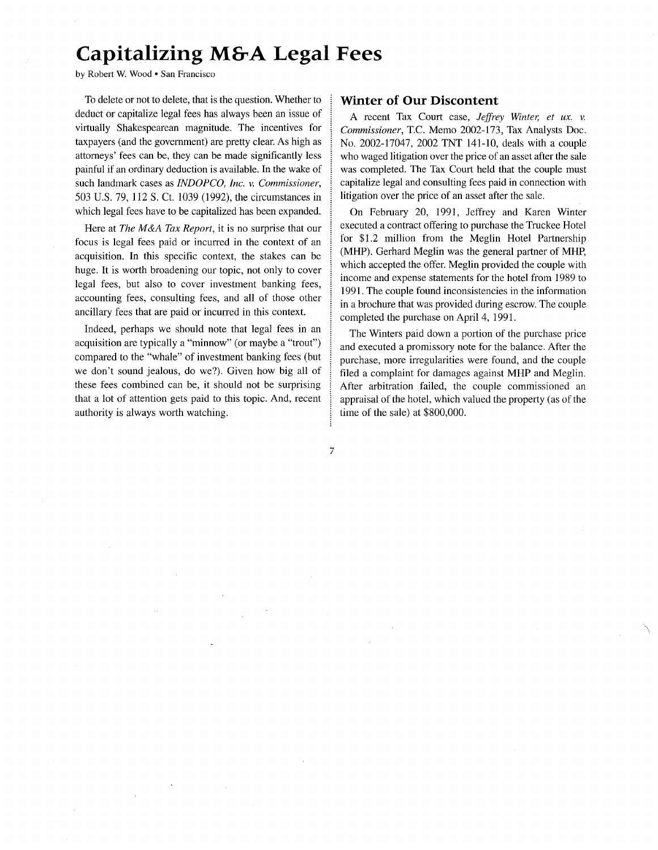## **Capitalizing M&A Legal Fees**

by Robert W. Wood · San Francisco

To delete or not to delete, that is the question. Whether to deduct or capitalize legal fees has always been an issue of virtually Shakespearean magnitude. The incentives for taxpayers (and the government) are pretty clear. As high as attorneys' fees can be, they can be made significantly less painful if an ordinary deduction is available. In the wake of such landmark cases as *INDOPCO, Inc. v. Commissioner,*  503 U.S. 79, 112 S. Ct. 1039 (1992), the circumstances in which legal fees have to be capitalized has been expanded.

Here at *The M&A Tax Report,* it is no surprise that our focus is legal fees paid or incurred in the context of an acquisition. In this specific context, the stakes can be huge. It is worth broadening our topic, not only to cover legal fees, but also to cover investment banking fees, accounting fees, consulting fees, and all of those other ancillary fees that are paid or incurred in this context.

Indeed, perhaps we should note that legal fees in an acquisition are typically a "minnow" (or maybe a "trout") compared to the "whale" of investment banking fees (but we don't sound jealous, do we?). Given how big all of these fees combined can be, it should not be surprising that a lot of attention gets paid to this topic. And, recent authority is always worth watching.

## **Winter of Our Discontent**

A recent Tax Court case, *Jeffrey Winter, et ux. v. Commissioner,* T.C. Memo 2002-173, Tax Analysts Doc. No. 2002-17047, 2002 TNT 141-10, deals with a couple who waged litigation over the price of an asset after the sale was completed. The Tax Court held that the couple must capitalize legal and consulting fees paid in connection with litigation over the price of an asset after the sale.

On February 20, 1991, Jeffrey and Karen Winter executed a contract offering to purchase the Truckee Hotel for \$1.2 million from the Meglin Hotel Partnership (MHP). Gerhard Meglin was the general partner of MHP, which accepted the offer. Meglin provided the couple with income and expense statements for the hotel from 1989 to 1991. The couple found inconsistencies in the information in a brochure that was provided during escrow. The couple completed the purchase on April 4, 1991.

The Winters paid down a portion of the purchase price and executed a promissory note for the balance. After the purchase, more irregularities were found, and the couple filed a complaint for damages against MHP and Meglin. After arbitration failed, the couple commissioned an appraisal of the hotel, which valued the property (as of the time of the sale) at \$800,000.